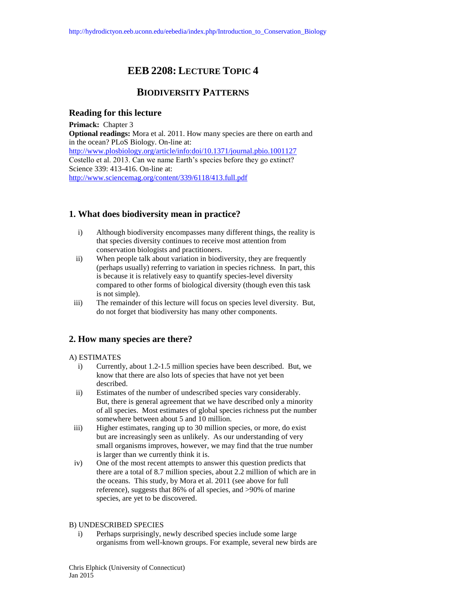# **EEB 2208: LECTURE TOPIC 4**

## **BIODIVERSITY PATTERNS**

## **Reading for this lecture**

**Primack:** Chapter 3 **Optional readings:** Mora et al. 2011. How many species are there on earth and in the ocean? PLoS Biology. On-line at: <http://www.plosbiology.org/article/info:doi/10.1371/journal.pbio.1001127> Costello et al. 2013. Can we name Earth's species before they go extinct? Science 339: 413-416. On-line at: <http://www.sciencemag.org/content/339/6118/413.full.pdf>

## **1. What does biodiversity mean in practice?**

- i) Although biodiversity encompasses many different things, the reality is that species diversity continues to receive most attention from conservation biologists and practitioners.
- ii) When people talk about variation in biodiversity, they are frequently (perhaps usually) referring to variation in species richness. In part, this is because it is relatively easy to quantify species-level diversity compared to other forms of biological diversity (though even this task is not simple).
- iii) The remainder of this lecture will focus on species level diversity. But, do not forget that biodiversity has many other components.

## **2. How many species are there?**

#### A) ESTIMATES

- i) Currently, about 1.2-1.5 million species have been described. But, we know that there are also lots of species that have not yet been described.
- ii) Estimates of the number of undescribed species vary considerably. But, there is general agreement that we have described only a minority of all species. Most estimates of global species richness put the number somewhere between about 5 and 10 million.
- iii) Higher estimates, ranging up to 30 million species, or more, do exist but are increasingly seen as unlikely. As our understanding of very small organisms improves, however, we may find that the true number is larger than we currently think it is.
- iv) One of the most recent attempts to answer this question predicts that there are a total of 8.7 million species, about 2.2 million of which are in the oceans. This study, by Mora et al. 2011 (see above for full reference), suggests that 86% of all species, and >90% of marine species, are yet to be discovered.

#### B) UNDESCRIBED SPECIES

i) Perhaps surprisingly, newly described species include some large organisms from well-known groups. For example, several new birds are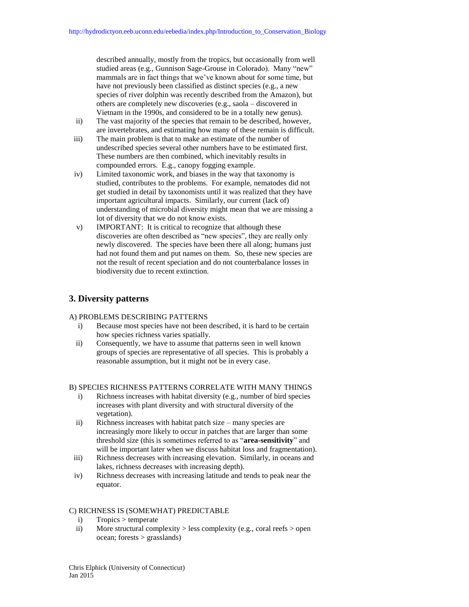described annually, mostly from the tropics, but occasionally from well studied areas (e.g., Gunnison Sage-Grouse in Colorado). Many "new" mammals are in fact things that we've known about for some time, but have not previously been classified as distinct species (e.g., a new species of river dolphin was recently described from the Amazon), but others are completely new discoveries (e.g., saola – discovered in Vietnam in the 1990s, and considered to be in a totally new genus).

- ii) The vast majority of the species that remain to be described, however, are invertebrates, and estimating how many of these remain is difficult.
- iii) The main problem is that to make an estimate of the number of undescribed species several other numbers have to be estimated first. These numbers are then combined, which inevitably results in compounded errors. E.g., canopy fogging example.
- iv) Limited taxonomic work, and biases in the way that taxonomy is studied, contributes to the problems. For example, nematodes did not get studied in detail by taxonomists until it was realized that they have important agricultural impacts. Similarly, our current (lack of) understanding of microbial diversity might mean that we are missing a lot of diversity that we do not know exists.
- v) IMPORTANT: It is critical to recognize that although these discoveries are often described as "new species", they are really only newly discovered. The species have been there all along; humans just had not found them and put names on them. So, these new species are not the result of recent speciation and do not counterbalance losses in biodiversity due to recent extinction.

## **3. Diversity patterns**

#### A) PROBLEMS DESCRIBING PATTERNS

- i) Because most species have not been described, it is hard to be certain how species richness varies spatially.
- ii) Consequently, we have to assume that patterns seen in well known groups of species are representative of all species. This is probably a reasonable assumption, but it might not be in every case.

#### B) SPECIES RICHNESS PATTERNS CORRELATE WITH MANY THINGS

- i) Richness increases with habitat diversity (e.g., number of bird species increases with plant diversity and with structural diversity of the vegetation).
- ii) Richness increases with habitat patch size many species are increasingly more likely to occur in patches that are larger than some threshold size (this is sometimes referred to as "**area-sensitivity**" and will be important later when we discuss habitat loss and fragmentation).
- iii) Richness decreases with increasing elevation. Similarly, in oceans and lakes, richness decreases with increasing depth).
- iv) Richness decreases with increasing latitude and tends to peak near the equator.

### C) RICHNESS IS (SOMEWHAT) PREDICTABLE

- i) Tropics > temperate
- ii) More structural complexity  $>$  less complexity (e.g., coral reefs  $>$  open ocean; forests > grasslands)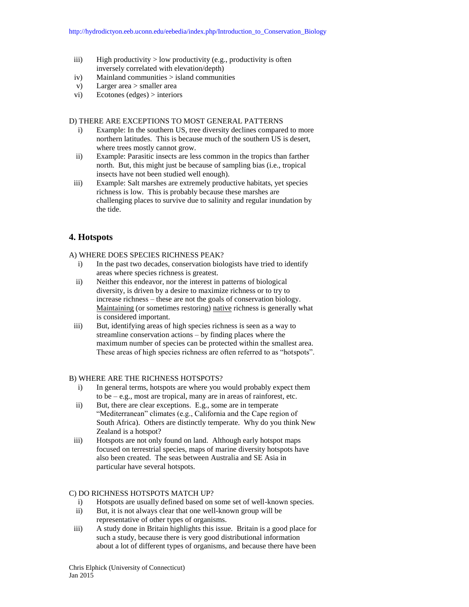- iii) High productivity > low productivity (e.g., productivity is often inversely correlated with elevation/depth)
- iv) Mainland communities > island communities
- v) Larger area > smaller area
- vi) Ecotones (edges) > interiors

#### D) THERE ARE EXCEPTIONS TO MOST GENERAL PATTERNS

- i) Example: In the southern US, tree diversity declines compared to more northern latitudes. This is because much of the southern US is desert, where trees mostly cannot grow.
- ii) Example: Parasitic insects are less common in the tropics than farther north. But, this might just be because of sampling bias (i.e., tropical insects have not been studied well enough).
- iii) Example: Salt marshes are extremely productive habitats, yet species richness is low. This is probably because these marshes are challenging places to survive due to salinity and regular inundation by the tide.

## **4. Hotspots**

#### A) WHERE DOES SPECIES RICHNESS PEAK?

- i) In the past two decades, conservation biologists have tried to identify areas where species richness is greatest.
- ii) Neither this endeavor, nor the interest in patterns of biological diversity, is driven by a desire to maximize richness or to try to increase richness – these are not the goals of conservation biology. Maintaining (or sometimes restoring) native richness is generally what is considered important.
- iii) But, identifying areas of high species richness is seen as a way to streamline conservation actions – by finding places where the maximum number of species can be protected within the smallest area. These areas of high species richness are often referred to as "hotspots".

#### B) WHERE ARE THE RICHNESS HOTSPOTS?

- i) In general terms, hotspots are where you would probably expect them to be – e.g., most are tropical, many are in areas of rainforest, etc.
- ii) But, there are clear exceptions. E.g., some are in temperate "Mediterranean" climates (e.g., California and the Cape region of South Africa). Others are distinctly temperate. Why do you think New Zealand is a hotspot?
- iii) Hotspots are not only found on land. Although early hotspot maps focused on terrestrial species, maps of marine diversity hotspots have also been created. The seas between Australia and SE Asia in particular have several hotspots.

#### C) DO RICHNESS HOTSPOTS MATCH UP?

- i) Hotspots are usually defined based on some set of well-known species.
- ii) But, it is not always clear that one well-known group will be representative of other types of organisms.
- iii) A study done in Britain highlights this issue. Britain is a good place for such a study, because there is very good distributional information about a lot of different types of organisms, and because there have been